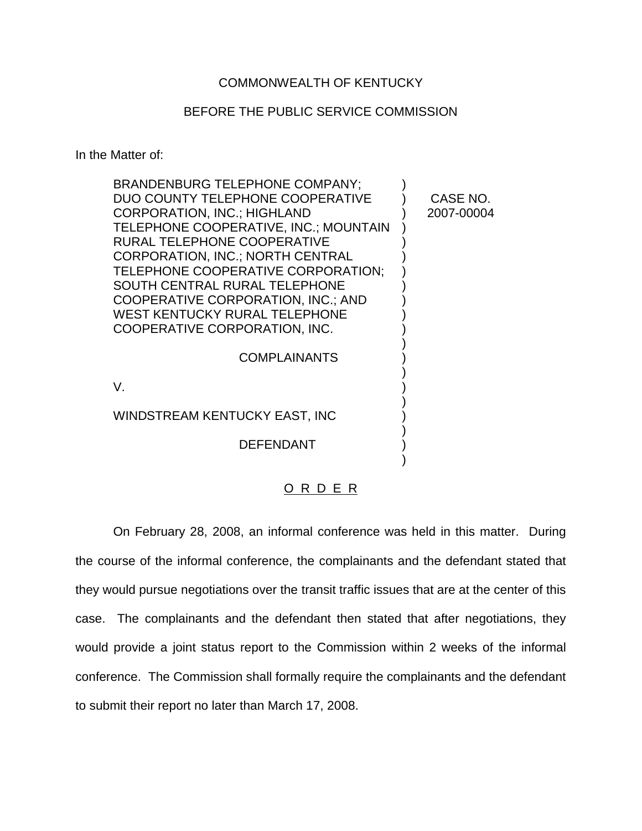## COMMONWEALTH OF KENTUCKY

## BEFORE THE PUBLIC SERVICE COMMISSION

In the Matter of:

| <b>BRANDENBURG TELEPHONE COMPANY:</b> |            |
|---------------------------------------|------------|
| DUO COUNTY TELEPHONE COOPERATIVE      | CASE NO.   |
| <b>CORPORATION, INC.; HIGHLAND</b>    | 2007-00004 |
| TELEPHONE COOPERATIVE, INC.; MOUNTAIN |            |
| RURAL TELEPHONE COOPERATIVE           |            |
| CORPORATION, INC.; NORTH CENTRAL      |            |
| TELEPHONE COOPERATIVE CORPORATION;    |            |
| SOUTH CENTRAL RURAL TELEPHONE         |            |
| COOPERATIVE CORPORATION, INC.; AND    |            |
| <b>WEST KENTUCKY RURAL TELEPHONE</b>  |            |
| COOPERATIVE CORPORATION, INC.         |            |
|                                       |            |
| <b>COMPLAINANTS</b>                   |            |
|                                       |            |
| V.                                    |            |
| WINDSTREAM KENTUCKY EAST, INC         |            |
|                                       |            |
| <b>DEFENDANT</b>                      |            |
|                                       |            |
|                                       |            |

O R D E R

On February 28, 2008, an informal conference was held in this matter. During the course of the informal conference, the complainants and the defendant stated that they would pursue negotiations over the transit traffic issues that are at the center of this case. The complainants and the defendant then stated that after negotiations, they would provide a joint status report to the Commission within 2 weeks of the informal conference. The Commission shall formally require the complainants and the defendant to submit their report no later than March 17, 2008.